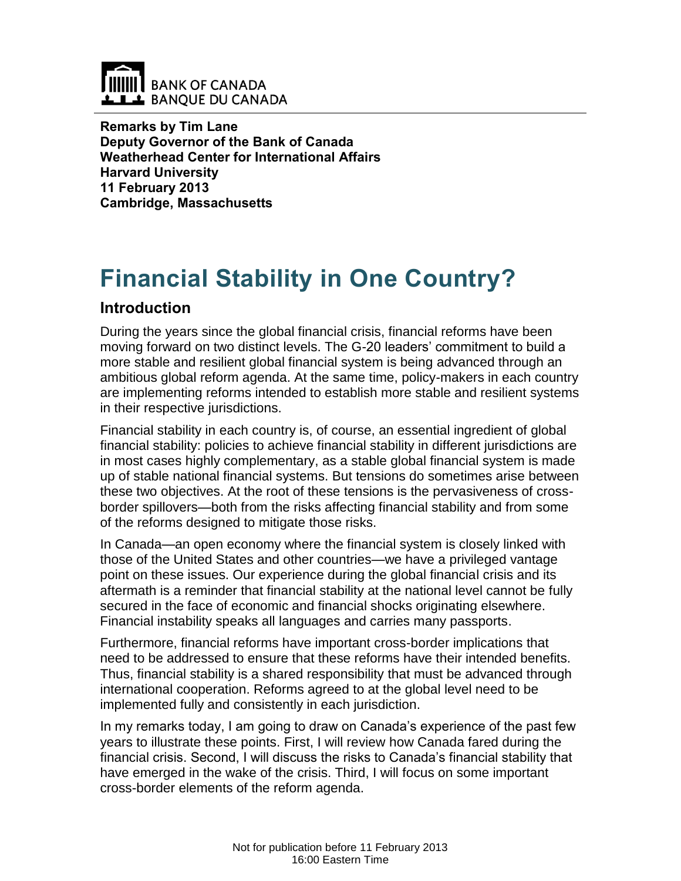

**Remarks by Tim Lane Deputy Governor of the Bank of Canada Weatherhead Center for International Affairs Harvard University 11 February 2013 Cambridge, Massachusetts**

# **Financial Stability in One Country?**

## **Introduction**

During the years since the global financial crisis, financial reforms have been moving forward on two distinct levels. The G-20 leaders' commitment to build a more stable and resilient global financial system is being advanced through an ambitious global reform agenda. At the same time, policy-makers in each country are implementing reforms intended to establish more stable and resilient systems in their respective jurisdictions.

Financial stability in each country is, of course, an essential ingredient of global financial stability: policies to achieve financial stability in different jurisdictions are in most cases highly complementary, as a stable global financial system is made up of stable national financial systems. But tensions do sometimes arise between these two objectives. At the root of these tensions is the pervasiveness of crossborder spillovers—both from the risks affecting financial stability and from some of the reforms designed to mitigate those risks.

In Canada—an open economy where the financial system is closely linked with those of the United States and other countries—we have a privileged vantage point on these issues. Our experience during the global financial crisis and its aftermath is a reminder that financial stability at the national level cannot be fully secured in the face of economic and financial shocks originating elsewhere. Financial instability speaks all languages and carries many passports.

Furthermore, financial reforms have important cross-border implications that need to be addressed to ensure that these reforms have their intended benefits. Thus, financial stability is a shared responsibility that must be advanced through international cooperation. Reforms agreed to at the global level need to be implemented fully and consistently in each jurisdiction.

In my remarks today, I am going to draw on Canada's experience of the past few years to illustrate these points. First, I will review how Canada fared during the financial crisis. Second, I will discuss the risks to Canada's financial stability that have emerged in the wake of the crisis. Third, I will focus on some important cross-border elements of the reform agenda.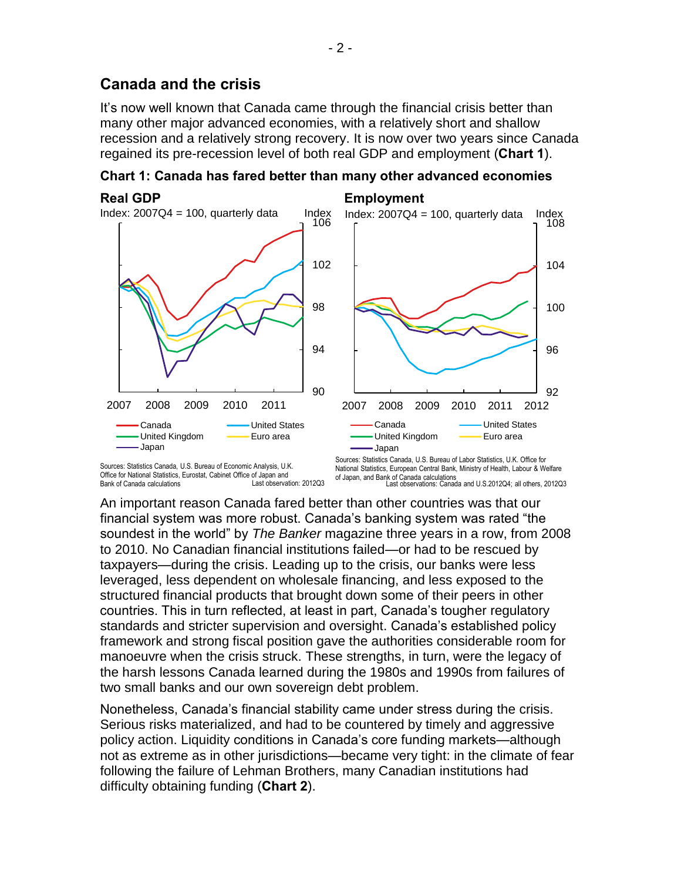## **Canada and the crisis**

It's now well known that Canada came through the financial crisis better than many other major advanced economies, with a relatively short and shallow recession and a relatively strong recovery. It is now over two years since Canada regained its pre-recession level of both real GDP and employment (**Chart 1**).

**Chart 1: Canada has fared better than many other advanced economies** 



Last observation: 2012Q3 Sources: Statistics Canada, U.S. Bureau of Economic Analysis, U.K. Office for National Statistics, Eurostat, Cabinet Office of Japan and Bank of Canada calculations

of Japan, and Bank of Canada calculations<br>Last observations: Canada and U.S.2012Q4; all others, 2012Q3 National Statistics, European Central Bank, Ministry of Health, Labour & Welfare

An important reason Canada fared better than other countries was that our financial system was more robust. Canada's banking system was rated "the soundest in the world" by *The Banker* magazine three years in a row, from 2008 to 2010. No Canadian financial institutions failed—or had to be rescued by taxpayers—during the crisis. Leading up to the crisis, our banks were less leveraged, less dependent on wholesale financing, and less exposed to the structured financial products that brought down some of their peers in other countries. This in turn reflected, at least in part, Canada's tougher regulatory standards and stricter supervision and oversight. Canada's established policy framework and strong fiscal position gave the authorities considerable room for manoeuvre when the crisis struck. These strengths, in turn, were the legacy of the harsh lessons Canada learned during the 1980s and 1990s from failures of two small banks and our own sovereign debt problem.

Nonetheless, Canada's financial stability came under stress during the crisis. Serious risks materialized, and had to be countered by timely and aggressive policy action. Liquidity conditions in Canada's core funding markets—although not as extreme as in other jurisdictions—became very tight: in the climate of fear following the failure of Lehman Brothers, many Canadian institutions had difficulty obtaining funding (**Chart 2**).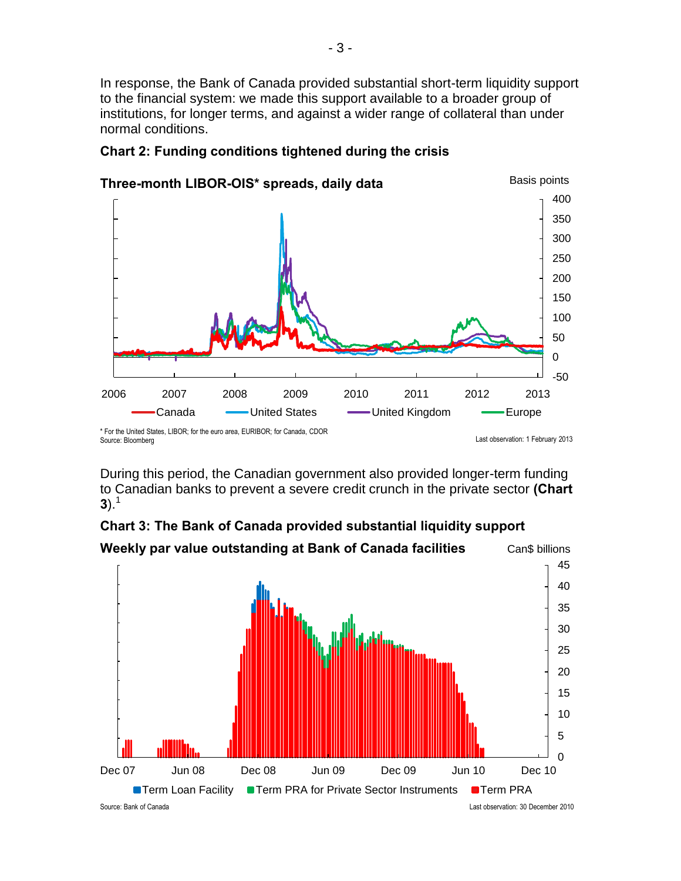In response, the Bank of Canada provided substantial short-term liquidity support to the financial system: we made this support available to a broader group of institutions, for longer terms, and against a wider range of collateral than under normal conditions.



## **Chart 2: Funding conditions tightened during the crisis**

During this period, the Canadian government also provided longer-term funding to Canadian banks to prevent a severe credit crunch in the private sector **(Chart 3**).<sup>1</sup>



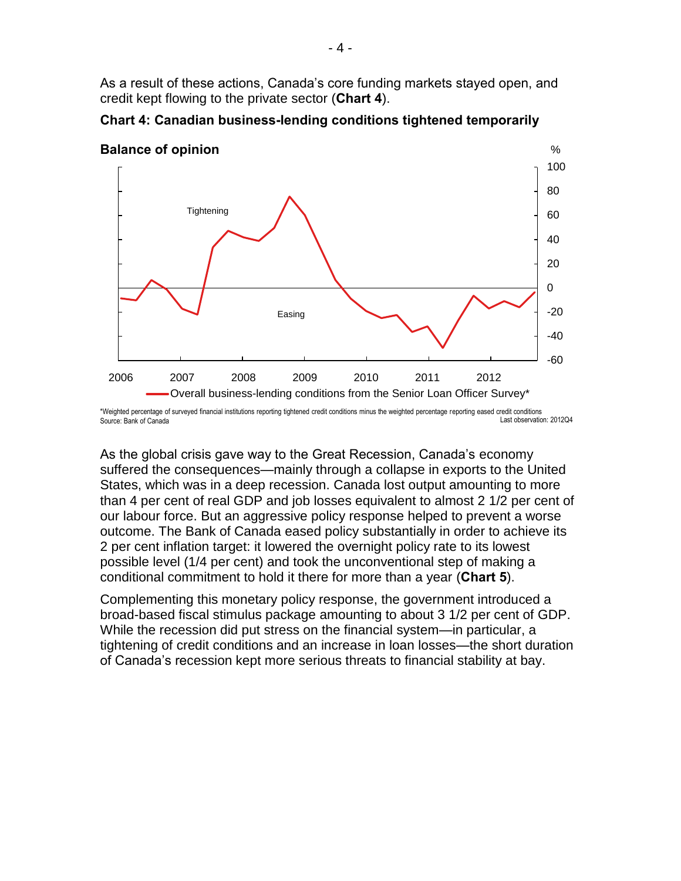As a result of these actions, Canada's core funding markets stayed open, and credit kept flowing to the private sector (**Chart 4**).



**Chart 4: Canadian business-lending conditions tightened temporarily** 

Last observation: 2012Q4 \*Weighted percentage of surveyed financial institutions reporting tightened credit conditions minus the weighted percentage reporting eased credit conditions Source: Bank of Canada

As the global crisis gave way to the Great Recession, Canada's economy suffered the consequences—mainly through a collapse in exports to the United States, which was in a deep recession. Canada lost output amounting to more than 4 per cent of real GDP and job losses equivalent to almost 2 1/2 per cent of our labour force. But an aggressive policy response helped to prevent a worse outcome. The Bank of Canada eased policy substantially in order to achieve its 2 per cent inflation target: it lowered the overnight policy rate to its lowest possible level (1/4 per cent) and took the unconventional step of making a conditional commitment to hold it there for more than a year (**Chart 5**).

Complementing this monetary policy response, the government introduced a broad-based fiscal stimulus package amounting to about 3 1/2 per cent of GDP. While the recession did put stress on the financial system—in particular, a tightening of credit conditions and an increase in loan losses—the short duration of Canada's recession kept more serious threats to financial stability at bay.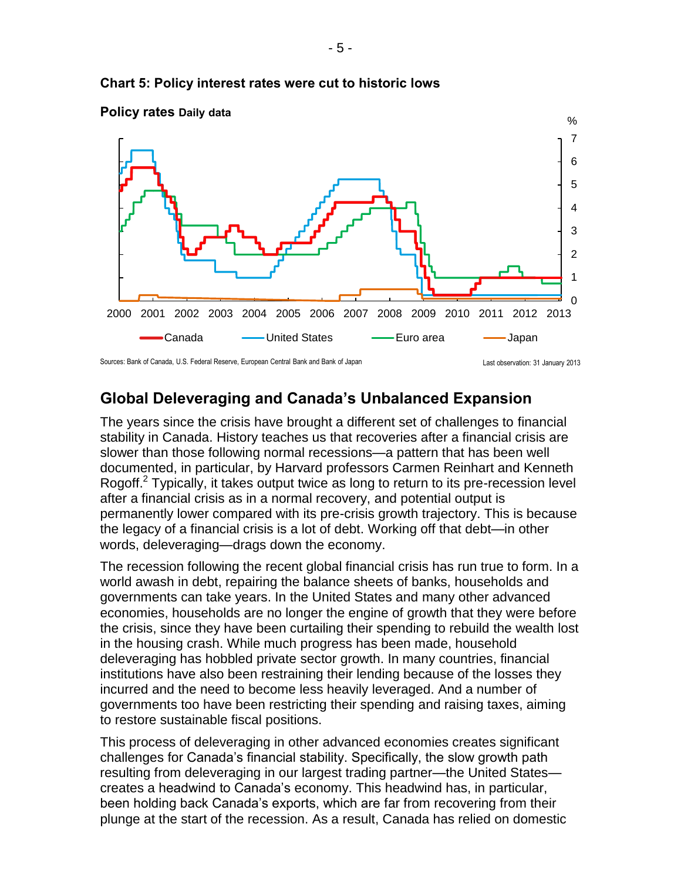

### **Chart 5: Policy interest rates were cut to historic lows**



## **Global Deleveraging and Canada's Unbalanced Expansion**

The years since the crisis have brought a different set of challenges to financial stability in Canada. History teaches us that recoveries after a financial crisis are slower than those following normal recessions—a pattern that has been well documented, in particular, by Harvard professors Carmen Reinhart and Kenneth Rogoff.<sup>2</sup> Typically, it takes output twice as long to return to its pre-recession level after a financial crisis as in a normal recovery, and potential output is permanently lower compared with its pre-crisis growth trajectory. This is because the legacy of a financial crisis is a lot of debt. Working off that debt—in other words, deleveraging—drags down the economy.

The recession following the recent global financial crisis has run true to form. In a world awash in debt, repairing the balance sheets of banks, households and governments can take years. In the United States and many other advanced economies, households are no longer the engine of growth that they were before the crisis, since they have been curtailing their spending to rebuild the wealth lost in the housing crash. While much progress has been made, household deleveraging has hobbled private sector growth. In many countries, financial institutions have also been restraining their lending because of the losses they incurred and the need to become less heavily leveraged. And a number of governments too have been restricting their spending and raising taxes, aiming to restore sustainable fiscal positions.

This process of deleveraging in other advanced economies creates significant challenges for Canada's financial stability. Specifically, the slow growth path resulting from deleveraging in our largest trading partner—the United States creates a headwind to Canada's economy. This headwind has, in particular, been holding back Canada's exports, which are far from recovering from their plunge at the start of the recession. As a result, Canada has relied on domestic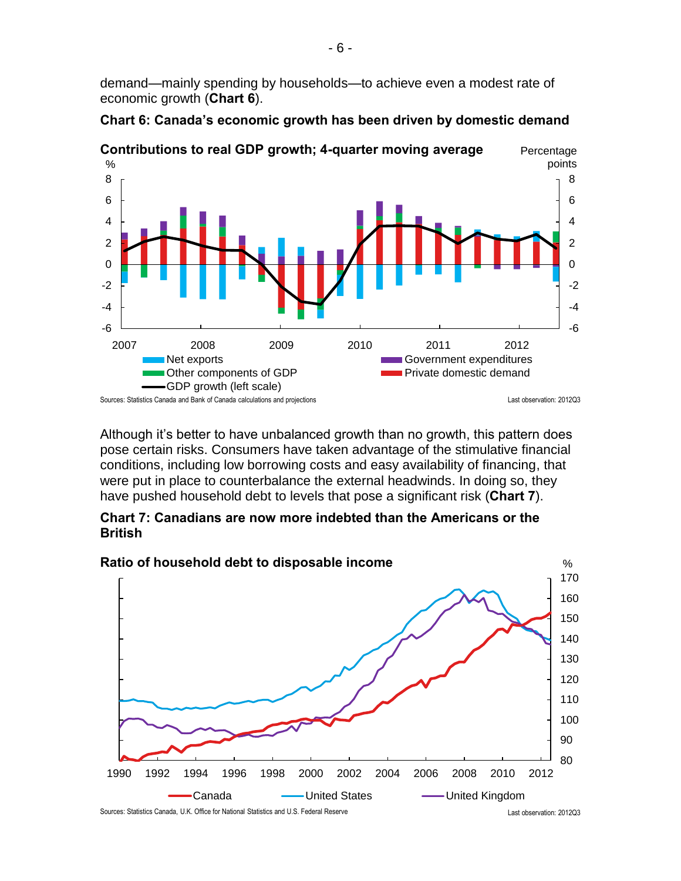demand—mainly spending by households—to achieve even a modest rate of economic growth (**Chart 6**).



**Chart 6: Canada's economic growth has been driven by domestic demand** 

Although it's better to have unbalanced growth than no growth, this pattern does pose certain risks. Consumers have taken advantage of the stimulative financial conditions, including low borrowing costs and easy availability of financing, that were put in place to counterbalance the external headwinds. In doing so, they have pushed household debt to levels that pose a significant risk (**Chart 7**).



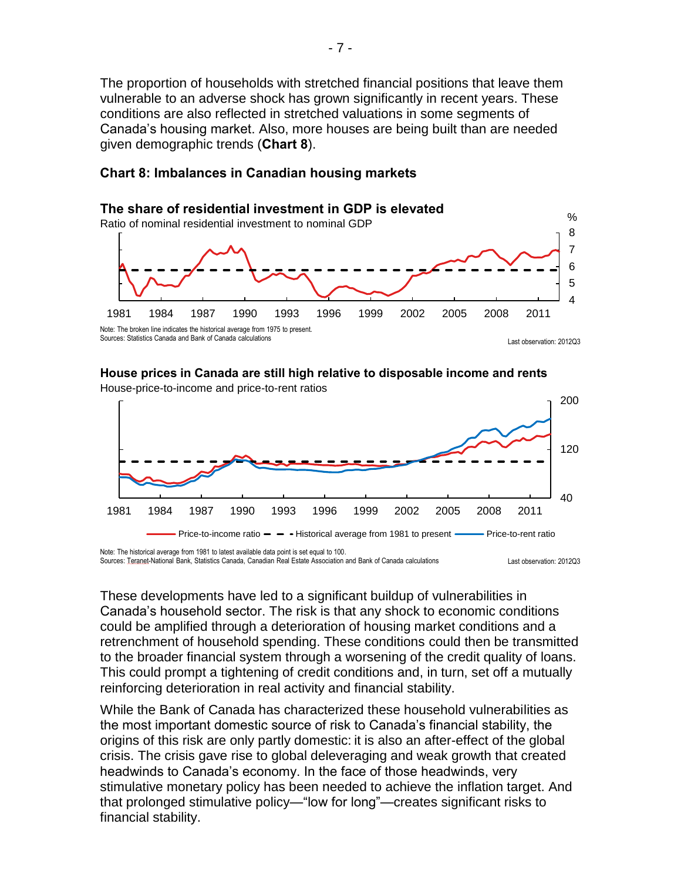The proportion of households with stretched financial positions that leave them vulnerable to an adverse shock has grown significantly in recent years. These conditions are also reflected in stretched valuations in some segments of Canada's housing market. Also, more houses are being built than are needed given demographic trends (**Chart 8**).

#### 1981 1984 1987 1990 1993 1996 1999 2002 2005 2008 2011 4 5 6 7 8 % **The share of residential investment in GDP is elevated** Ratio of nominal residential investment to nominal GDP Last observation: 2012Q3 Note: The broken line indicates the historical average from 1975 to present. Sources: Statistics Canada and Bank of Canada calculations

## **Chart 8: Imbalances in Canadian housing markets**

#### **House prices in Canada are still high relative to disposable income and rents**



Last observation: 2012Q3 Sources: Teranet-National Bank, Statistics Canada, Canadian Real Estate Association and Bank of Canada calculations

These developments have led to a significant buildup of vulnerabilities in Canada's household sector. The risk is that any shock to economic conditions could be amplified through a deterioration of housing market conditions and a retrenchment of household spending. These conditions could then be transmitted to the broader financial system through a worsening of the credit quality of loans. This could prompt a tightening of credit conditions and, in turn, set off a mutually reinforcing deterioration in real activity and financial stability.

While the Bank of Canada has characterized these household vulnerabilities as the most important domestic source of risk to Canada's financial stability, the origins of this risk are only partly domestic: it is also an after-effect of the global crisis. The crisis gave rise to global deleveraging and weak growth that created headwinds to Canada's economy. In the face of those headwinds, very stimulative monetary policy has been needed to achieve the inflation target. And that prolonged stimulative policy—"low for long"—creates significant risks to financial stability.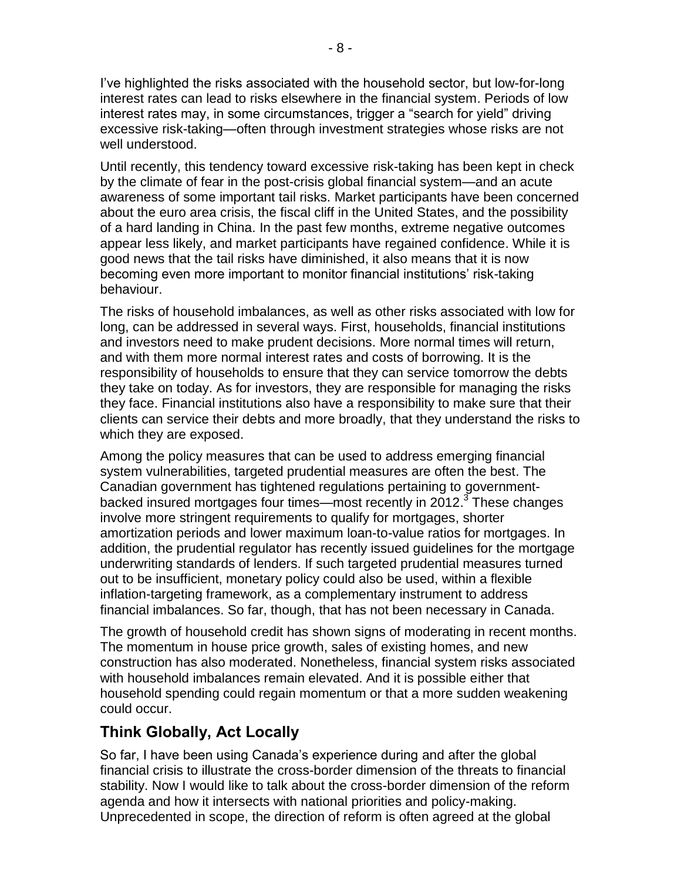I've highlighted the risks associated with the household sector, but low-for-long interest rates can lead to risks elsewhere in the financial system. Periods of low interest rates may, in some circumstances, trigger a "search for yield" driving excessive risk-taking—often through investment strategies whose risks are not well understood.

Until recently, this tendency toward excessive risk-taking has been kept in check by the climate of fear in the post-crisis global financial system—and an acute awareness of some important tail risks. Market participants have been concerned about the euro area crisis, the fiscal cliff in the United States, and the possibility of a hard landing in China. In the past few months, extreme negative outcomes appear less likely, and market participants have regained confidence. While it is good news that the tail risks have diminished, it also means that it is now becoming even more important to monitor financial institutions' risk-taking behaviour.

The risks of household imbalances, as well as other risks associated with low for long, can be addressed in several ways. First, households, financial institutions and investors need to make prudent decisions. More normal times will return, and with them more normal interest rates and costs of borrowing. It is the responsibility of households to ensure that they can service tomorrow the debts they take on today. As for investors, they are responsible for managing the risks they face. Financial institutions also have a responsibility to make sure that their clients can service their debts and more broadly, that they understand the risks to which they are exposed.

Among the policy measures that can be used to address emerging financial system vulnerabilities, targeted prudential measures are often the best. The Canadian government has tightened regulations pertaining to governmentbacked insured mortgages four times—most recently in 2012.<sup>3</sup> These changes involve more stringent requirements to qualify for mortgages, shorter amortization periods and lower maximum loan-to-value ratios for mortgages. In addition, the prudential regulator has recently issued guidelines for the mortgage underwriting standards of lenders. If such targeted prudential measures turned out to be insufficient, monetary policy could also be used, within a flexible inflation-targeting framework, as a complementary instrument to address financial imbalances. So far, though, that has not been necessary in Canada.

The growth of household credit has shown signs of moderating in recent months. The momentum in house price growth, sales of existing homes, and new construction has also moderated. Nonetheless, financial system risks associated with household imbalances remain elevated. And it is possible either that household spending could regain momentum or that a more sudden weakening could occur.

## **Think Globally, Act Locally**

So far, I have been using Canada's experience during and after the global financial crisis to illustrate the cross-border dimension of the threats to financial stability. Now I would like to talk about the cross-border dimension of the reform agenda and how it intersects with national priorities and policy-making. Unprecedented in scope, the direction of reform is often agreed at the global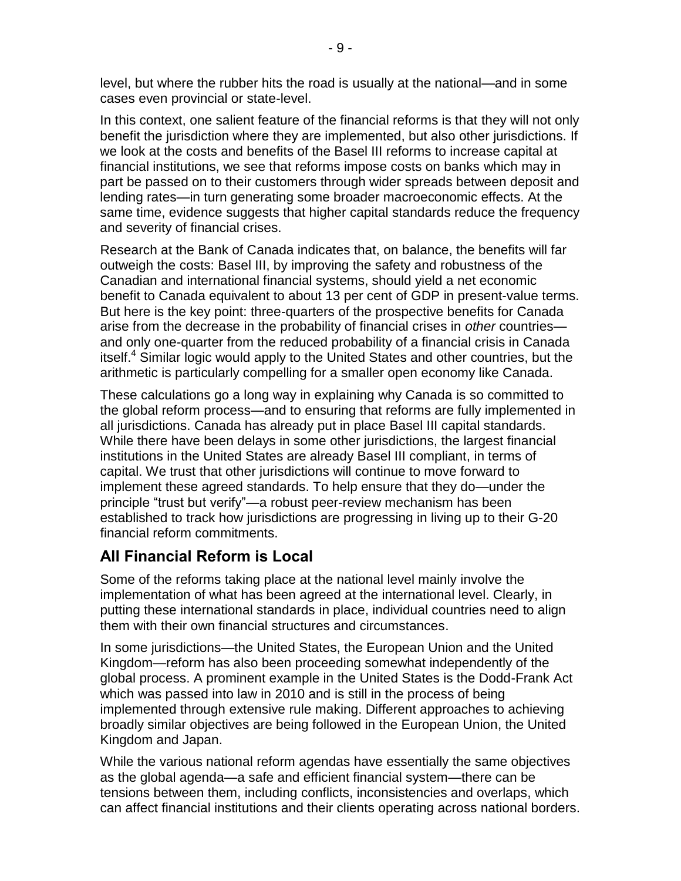level, but where the rubber hits the road is usually at the national—and in some cases even provincial or state-level.

In this context, one salient feature of the financial reforms is that they will not only benefit the jurisdiction where they are implemented, but also other jurisdictions. If we look at the costs and benefits of the Basel III reforms to increase capital at financial institutions, we see that reforms impose costs on banks which may in part be passed on to their customers through wider spreads between deposit and lending rates—in turn generating some broader macroeconomic effects. At the same time, evidence suggests that higher capital standards reduce the frequency and severity of financial crises.

Research at the Bank of Canada indicates that, on balance, the benefits will far outweigh the costs: Basel III, by improving the safety and robustness of the Canadian and international financial systems, should yield a net economic benefit to Canada equivalent to about 13 per cent of GDP in present-value terms. But here is the key point: three-quarters of the prospective benefits for Canada arise from the decrease in the probability of financial crises in *other* countries and only one-quarter from the reduced probability of a financial crisis in Canada itself.<sup>4</sup> Similar logic would apply to the United States and other countries, but the arithmetic is particularly compelling for a smaller open economy like Canada.

These calculations go a long way in explaining why Canada is so committed to the global reform process—and to ensuring that reforms are fully implemented in all jurisdictions. Canada has already put in place Basel III capital standards. While there have been delays in some other jurisdictions, the largest financial institutions in the United States are already Basel III compliant, in terms of capital. We trust that other jurisdictions will continue to move forward to implement these agreed standards. To help ensure that they do—under the principle "trust but verify"—a robust peer-review mechanism has been established to track how jurisdictions are progressing in living up to their G-20 financial reform commitments.

# **All Financial Reform is Local**

Some of the reforms taking place at the national level mainly involve the implementation of what has been agreed at the international level. Clearly, in putting these international standards in place, individual countries need to align them with their own financial structures and circumstances.

In some jurisdictions—the United States, the European Union and the United Kingdom—reform has also been proceeding somewhat independently of the global process. A prominent example in the United States is the Dodd-Frank Act which was passed into law in 2010 and is still in the process of being implemented through extensive rule making. Different approaches to achieving broadly similar objectives are being followed in the European Union, the United Kingdom and Japan.

While the various national reform agendas have essentially the same objectives as the global agenda—a safe and efficient financial system—there can be tensions between them, including conflicts, inconsistencies and overlaps, which can affect financial institutions and their clients operating across national borders.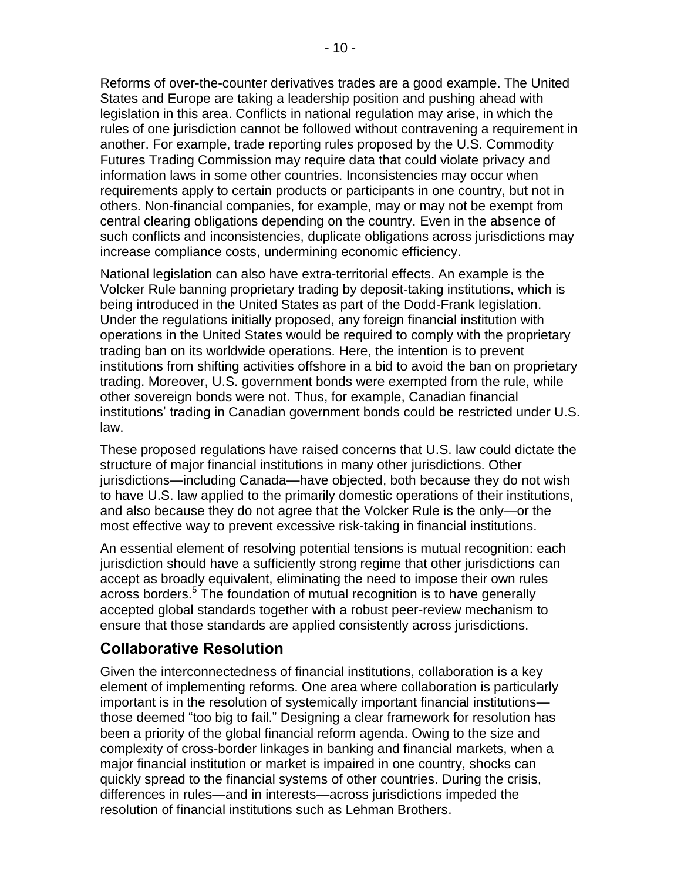Reforms of over-the-counter derivatives trades are a good example. The United States and Europe are taking a leadership position and pushing ahead with legislation in this area. Conflicts in national regulation may arise, in which the rules of one jurisdiction cannot be followed without contravening a requirement in another. For example, trade reporting rules proposed by the U.S. Commodity Futures Trading Commission may require data that could violate privacy and information laws in some other countries. Inconsistencies may occur when requirements apply to certain products or participants in one country, but not in others. Non-financial companies, for example, may or may not be exempt from central clearing obligations depending on the country. Even in the absence of such conflicts and inconsistencies, duplicate obligations across jurisdictions may increase compliance costs, undermining economic efficiency.

National legislation can also have extra-territorial effects. An example is the Volcker Rule banning proprietary trading by deposit-taking institutions, which is being introduced in the United States as part of the Dodd-Frank legislation. Under the regulations initially proposed, any foreign financial institution with operations in the United States would be required to comply with the proprietary trading ban on its worldwide operations. Here, the intention is to prevent institutions from shifting activities offshore in a bid to avoid the ban on proprietary trading. Moreover, U.S. government bonds were exempted from the rule, while other sovereign bonds were not. Thus, for example, Canadian financial institutions' trading in Canadian government bonds could be restricted under U.S. law.

These proposed regulations have raised concerns that U.S. law could dictate the structure of major financial institutions in many other jurisdictions. Other jurisdictions—including Canada—have objected, both because they do not wish to have U.S. law applied to the primarily domestic operations of their institutions, and also because they do not agree that the Volcker Rule is the only—or the most effective way to prevent excessive risk-taking in financial institutions.

An essential element of resolving potential tensions is mutual recognition: each jurisdiction should have a sufficiently strong regime that other jurisdictions can accept as broadly equivalent, eliminating the need to impose their own rules across borders.<sup>5</sup> The foundation of mutual recognition is to have generally accepted global standards together with a robust peer-review mechanism to ensure that those standards are applied consistently across jurisdictions.

## **Collaborative Resolution**

Given the interconnectedness of financial institutions, collaboration is a key element of implementing reforms. One area where collaboration is particularly important is in the resolution of systemically important financial institutions those deemed "too big to fail." Designing a clear framework for resolution has been a priority of the global financial reform agenda. Owing to the size and complexity of cross-border linkages in banking and financial markets, when a major financial institution or market is impaired in one country, shocks can quickly spread to the financial systems of other countries. During the crisis, differences in rules—and in interests—across jurisdictions impeded the resolution of financial institutions such as Lehman Brothers.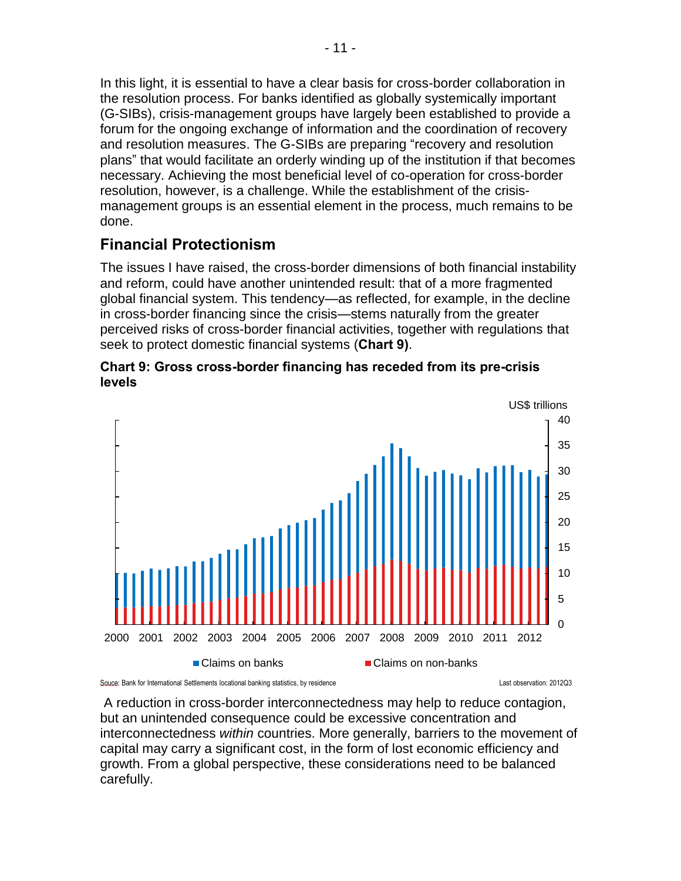In this light, it is essential to have a clear basis for cross-border collaboration in the resolution process. For banks identified as globally systemically important (G-SIBs), crisis-management groups have largely been established to provide a forum for the ongoing exchange of information and the coordination of recovery and resolution measures. The G-SIBs are preparing "recovery and resolution plans" that would facilitate an orderly winding up of the institution if that becomes necessary. Achieving the most beneficial level of co-operation for cross-border resolution, however, is a challenge. While the establishment of the crisismanagement groups is an essential element in the process, much remains to be done.

# **Financial Protectionism**

The issues I have raised, the cross-border dimensions of both financial instability and reform, could have another unintended result: that of a more fragmented global financial system. This tendency—as reflected, for example, in the decline in cross-border financing since the crisis—stems naturally from the greater perceived risks of cross-border financial activities, together with regulations that seek to protect domestic financial systems (**Chart 9)**.





 A reduction in cross-border interconnectedness may help to reduce contagion, but an unintended consequence could be excessive concentration and interconnectedness *within* countries. More generally, barriers to the movement of capital may carry a significant cost, in the form of lost economic efficiency and growth. From a global perspective, these considerations need to be balanced carefully.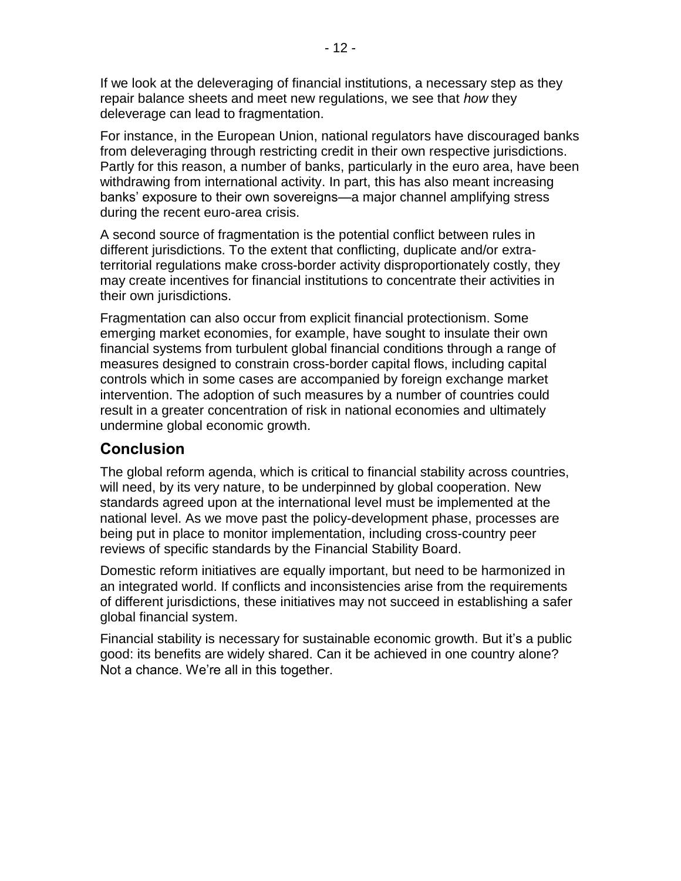If we look at the deleveraging of financial institutions, a necessary step as they repair balance sheets and meet new regulations, we see that *how* they deleverage can lead to fragmentation.

For instance, in the European Union, national regulators have discouraged banks from deleveraging through restricting credit in their own respective jurisdictions. Partly for this reason, a number of banks, particularly in the euro area, have been withdrawing from international activity. In part, this has also meant increasing banks' exposure to their own sovereigns—a major channel amplifying stress during the recent euro-area crisis.

A second source of fragmentation is the potential conflict between rules in different jurisdictions. To the extent that conflicting, duplicate and/or extraterritorial regulations make cross-border activity disproportionately costly, they may create incentives for financial institutions to concentrate their activities in their own jurisdictions.

Fragmentation can also occur from explicit financial protectionism. Some emerging market economies, for example, have sought to insulate their own financial systems from turbulent global financial conditions through a range of measures designed to constrain cross-border capital flows, including capital controls which in some cases are accompanied by foreign exchange market intervention. The adoption of such measures by a number of countries could result in a greater concentration of risk in national economies and ultimately undermine global economic growth.

# **Conclusion**

The global reform agenda, which is critical to financial stability across countries, will need, by its very nature, to be underpinned by global cooperation. New standards agreed upon at the international level must be implemented at the national level. As we move past the policy-development phase, processes are being put in place to monitor implementation, including cross-country peer reviews of specific standards by the Financial Stability Board.

Domestic reform initiatives are equally important, but need to be harmonized in an integrated world. If conflicts and inconsistencies arise from the requirements of different jurisdictions, these initiatives may not succeed in establishing a safer global financial system.

Financial stability is necessary for sustainable economic growth. But it's a public good: its benefits are widely shared. Can it be achieved in one country alone? Not a chance. We're all in this together.